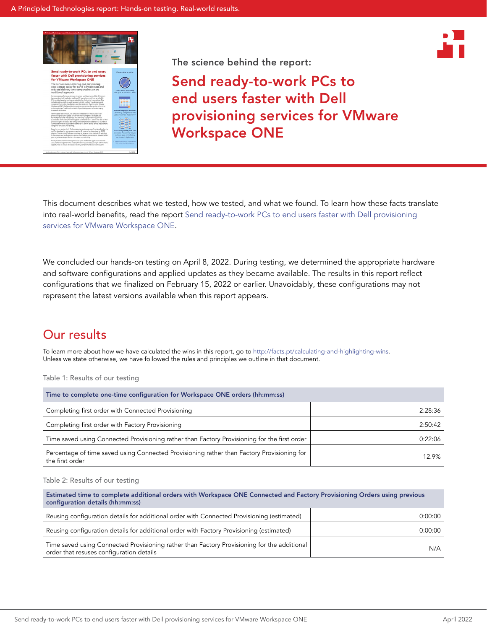



# Send ready-to-work PCs to end users faster with Dell provisioning services for VMware Workspace ONE

This document describes what we tested, how we tested, and what we found. To learn how these facts translate into real-world benefits, read the report [Send ready-to-work PCs to end users faster with Dell provisioning](https://facts.pt/2BI1dJI)  [services for VMware Workspace ONE.](https://facts.pt/2BI1dJI)

We concluded our hands-on testing on April 8, 2022. During testing, we determined the appropriate hardware and software configurations and applied updates as they became available. The results in this report reflect configurations that we finalized on February 15, 2022 or earlier. Unavoidably, these configurations may not represent the latest versions available when this report appears.

# Our results

To learn more about how we have calculated the wins in this report, go to [http://facts.pt/calculating-and-highlighting-wins](https://facts.pt/calculating-and-highlighting-wins). Unless we state otherwise, we have followed the rules and principles we outline in that document.

Table 1: Results of our testing

| Time to complete one-time configuration for Workspace ONE orders (hh:mm:ss)                                   |         |
|---------------------------------------------------------------------------------------------------------------|---------|
| Completing first order with Connected Provisioning                                                            | 2:28:36 |
| Completing first order with Factory Provisioning                                                              | 2:50:42 |
| Time saved using Connected Provisioning rather than Factory Provisioning for the first order                  | 0:22:06 |
| Percentage of time saved using Connected Provisioning rather than Factory Provisioning for<br>the first order | 12.9%   |

### Table 2: Results of our testing

| Estimated time to complete additional orders with Workspace ONE Connected and Factory Provisioning Orders using previous<br>configuration details (hh:mm:ss) |         |  |  |
|--------------------------------------------------------------------------------------------------------------------------------------------------------------|---------|--|--|
| Reusing configuration details for additional order with Connected Provisioning (estimated)                                                                   | 0:00:00 |  |  |
| Reusing configuration details for additional order with Factory Provisioning (estimated)                                                                     | 0:00:00 |  |  |
| Time saved using Connected Provisioning rather than Factory Provisioning for the additional<br>order that resuses configuration details                      | N/A     |  |  |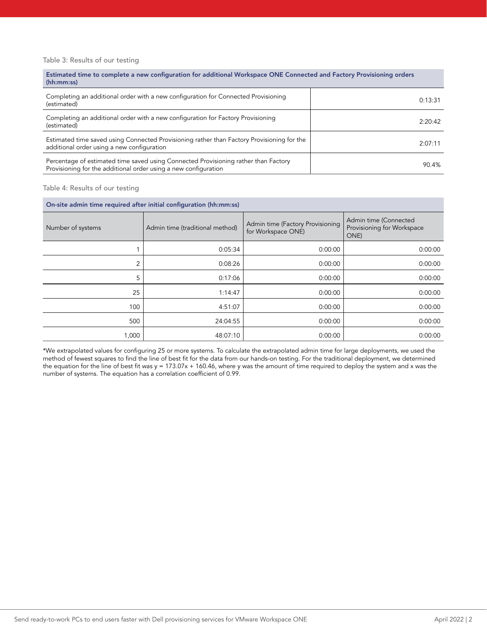### Table 3: Results of our testing

Estimated time to complete a new configuration for additional Workspace ONE Connected and Factory Provisioning orders (hh:mm:ss)

| Completing an additional order with a new configuration for Connected Provisioning<br>(estimated)                                                      | 0:13:31 |
|--------------------------------------------------------------------------------------------------------------------------------------------------------|---------|
| Completing an additional order with a new configuration for Factory Provisioning<br>(estimated)                                                        | 2:20:42 |
| Estimated time saved using Connected Provisioning rather than Factory Provisioning for the<br>additional order using a new configuration               | 2:07:11 |
| Percentage of estimated time saved using Connected Provisioning rather than Factory<br>Provisioning for the additional order using a new configuration | 90.4%   |

#### Table 4: Results of our testing

| On-site admin time required after initial configuration (hh:mm:ss) |                                 |                                                        |                                                             |  |
|--------------------------------------------------------------------|---------------------------------|--------------------------------------------------------|-------------------------------------------------------------|--|
| Number of systems                                                  | Admin time (traditional method) | Admin time (Factory Provisioning<br>for Workspace ONE) | Admin time (Connected<br>Provisioning for Workspace<br>ONE) |  |
|                                                                    | 0:05:34                         | 0:00:00                                                | 0:00:00                                                     |  |
| 2                                                                  | 0:08:26                         | 0:00:00                                                | 0:00:00                                                     |  |
| 5                                                                  | 0:17:06                         | 0:00:00                                                | 0:00:00                                                     |  |
| 25                                                                 | 1:14:47                         | 0:00:00                                                | 0:00:00                                                     |  |
| 100                                                                | 4:51:07                         | 0:00:00                                                | 0:00:00                                                     |  |
| 500                                                                | 24:04:55                        | 0:00:00                                                | 0:00:00                                                     |  |
| 1,000                                                              | 48:07:10                        | 0:00:00                                                | 0:00:00                                                     |  |

\*We extrapolated values for configuring 25 or more systems. To calculate the extrapolated admin time for large deployments, we used the method of fewest squares to find the line of best fit for the data from our hands-on testing. For the traditional deployment, we determined the equation for the line of best fit was y = 173.07x + 160.46, where y was the amount of time required to deploy the system and x was the number of systems. The equation has a correlation coefficient of 0.99.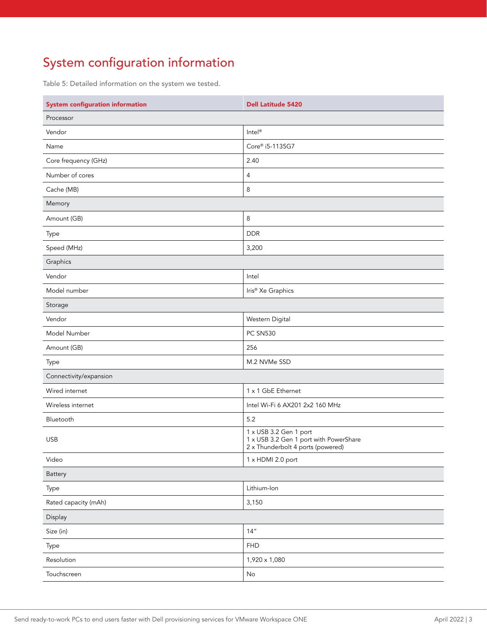# System configuration information

Table 5: Detailed information on the system we tested.

| <b>System configuration information</b> | <b>Dell Latitude 5420</b>                                                                             |
|-----------------------------------------|-------------------------------------------------------------------------------------------------------|
| Processor                               |                                                                                                       |
| Vendor                                  | Intel <sup>®</sup>                                                                                    |
| Name                                    | Core® i5-1135G7                                                                                       |
| Core frequency (GHz)                    | 2.40                                                                                                  |
| Number of cores                         | $\overline{4}$                                                                                        |
| Cache (MB)                              | 8                                                                                                     |
| Memory                                  |                                                                                                       |
| Amount (GB)                             | 8                                                                                                     |
| Type                                    | <b>DDR</b>                                                                                            |
| Speed (MHz)                             | 3,200                                                                                                 |
| Graphics                                |                                                                                                       |
| Vendor                                  | Intel                                                                                                 |
| Model number                            | Iris <sup>®</sup> Xe Graphics                                                                         |
| Storage                                 |                                                                                                       |
| Vendor                                  | Western Digital                                                                                       |
| Model Number                            | <b>PC SN530</b>                                                                                       |
| Amount (GB)                             | 256                                                                                                   |
| Type                                    | M.2 NVMe SSD                                                                                          |
| Connectivity/expansion                  |                                                                                                       |
| Wired internet                          | 1 x 1 GbE Ethernet                                                                                    |
| Wireless internet                       | Intel Wi-Fi 6 AX201 2x2 160 MHz                                                                       |
| Bluetooth                               | 5.2                                                                                                   |
| <b>USB</b>                              | 1 x USB 3.2 Gen 1 port<br>1 x USB 3.2 Gen 1 port with PowerShare<br>2 x Thunderbolt 4 ports (powered) |
| Video                                   | 1 x HDMI 2.0 port                                                                                     |
| Battery                                 |                                                                                                       |
| Type                                    | Lithium-Ion                                                                                           |
| Rated capacity (mAh)                    | 3,150                                                                                                 |
| Display                                 |                                                                                                       |
| Size (in)                               | 14''                                                                                                  |
| Type                                    | <b>FHD</b>                                                                                            |
| Resolution                              | 1,920 x 1,080                                                                                         |
| Touchscreen                             | $\mathsf{No}$                                                                                         |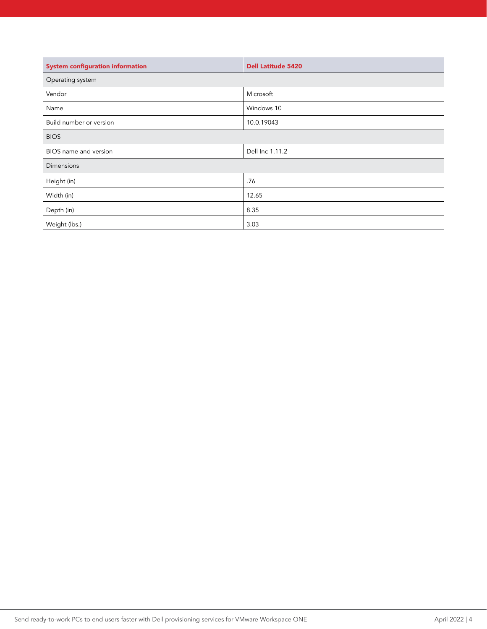| System configuration information | <b>Dell Latitude 5420</b> |
|----------------------------------|---------------------------|
| Operating system                 |                           |
| Vendor                           | Microsoft                 |
| Name                             | Windows 10                |
| Build number or version          | 10.0.19043                |
| <b>BIOS</b>                      |                           |
| BIOS name and version            | Dell Inc 1.11.2           |
| Dimensions                       |                           |
| Height (in)                      | .76                       |
| Width (in)                       | 12.65                     |
| Depth (in)                       | 8.35                      |
| Weight (lbs.)                    | 3.03                      |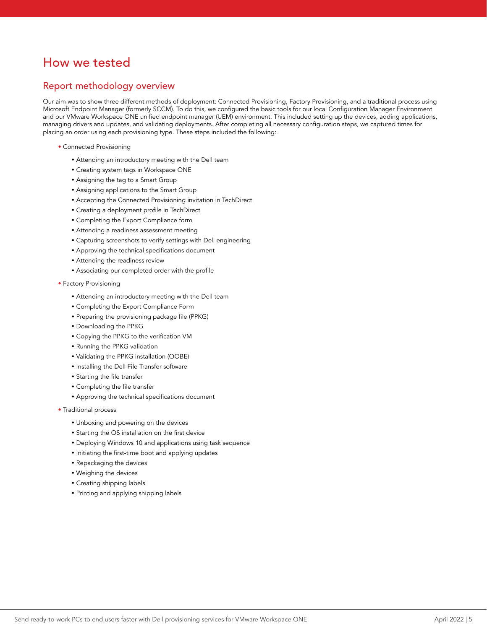# How we tested

# Report methodology overview

Our aim was to show three different methods of deployment: Connected Provisioning, Factory Provisioning, and a traditional process using Microsoft Endpoint Manager (formerly SCCM). To do this, we configured the basic tools for our local Configuration Manager Environment and our VMware Workspace ONE unified endpoint manager (UEM) environment. This included setting up the devices, adding applications, managing drivers and updates, and validating deployments. After completing all necessary configuration steps, we captured times for placing an order using each provisioning type. These steps included the following:

- Connected Provisioning
	- Attending an introductory meeting with the Dell team
	- Creating system tags in Workspace ONE
	- Assigning the tag to a Smart Group
	- Assigning applications to the Smart Group
	- Accepting the Connected Provisioning invitation in TechDirect
	- Creating a deployment profile in TechDirect
	- Completing the Export Compliance form
	- Attending a readiness assessment meeting
	- Capturing screenshots to verify settings with Dell engineering
	- Approving the technical specifications document
	- Attending the readiness review
	- Associating our completed order with the profile
- Factory Provisioning
	- Attending an introductory meeting with the Dell team
	- Completing the Export Compliance Form
	- Preparing the provisioning package file (PPKG)
	- Downloading the PPKG
	- Copying the PPKG to the verification VM
	- Running the PPKG validation
	- Validating the PPKG installation (OOBE)
	- Installing the Dell File Transfer software
	- Starting the file transfer
	- Completing the file transfer
	- Approving the technical specifications document
- Traditional process
	- Unboxing and powering on the devices
	- Starting the OS installation on the first device
	- Deploying Windows 10 and applications using task sequence
	- Initiating the first-time boot and applying updates
	- Repackaging the devices
	- Weighing the devices
	- Creating shipping labels
	- Printing and applying shipping labels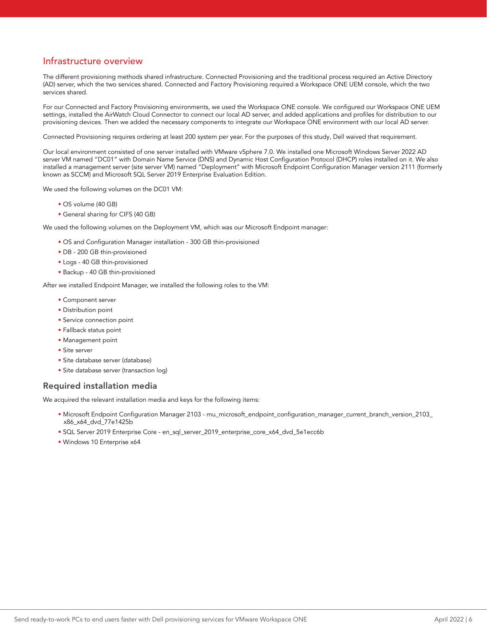# Infrastructure overview

The different provisioning methods shared infrastructure. Connected Provisioning and the traditional process required an Active Directory (AD) server, which the two services shared. Connected and Factory Provisioning required a Workspace ONE UEM console, which the two services shared.

For our Connected and Factory Provisioning environments, we used the Workspace ONE console. We configured our Workspace ONE UEM settings, installed the AirWatch Cloud Connector to connect our local AD server, and added applications and profiles for distribution to our provisioning devices. Then we added the necessary components to integrate our Workspace ONE environment with our local AD server.

Connected Provisioning requires ordering at least 200 system per year. For the purposes of this study, Dell waived that requirement.

Our local environment consisted of one server installed with VMware vSphere 7.0. We installed one Microsoft Windows Server 2022 AD server VM named "DC01" with Domain Name Service (DNS) and Dynamic Host Configuration Protocol (DHCP) roles installed on it. We also installed a management server (site server VM) named "Deployment" with Microsoft Endpoint Configuration Manager version 2111 (formerly known as SCCM) and Microsoft SQL Server 2019 Enterprise Evaluation Edition.

We used the following volumes on the DC01 VM:

- OS volume (40 GB)
- General sharing for CIFS (40 GB)

We used the following volumes on the Deployment VM, which was our Microsoft Endpoint manager:

- OS and Configuration Manager installation 300 GB thin-provisioned
- DB 200 GB thin-provisioned
- Logs 40 GB thin-provisioned
- Backup 40 GB thin-provisioned

After we installed Endpoint Manager, we installed the following roles to the VM:

- Component server
- Distribution point
- Service connection point
- Fallback status point
- Management point
- Site server
- Site database server (database)
- Site database server (transaction log)

### Required installation media

We acquired the relevant installation media and keys for the following items:

- Microsoft Endpoint Configuration Manager 2103 mu\_microsoft\_endpoint\_configuration\_manager\_current\_branch\_version\_2103\_ x86\_x64\_dvd\_77e1425b
- SQL Server 2019 Enterprise Core en\_sql\_server\_2019\_enterprise\_core\_x64\_dvd\_5e1ecc6b
- Windows 10 Enterprise x64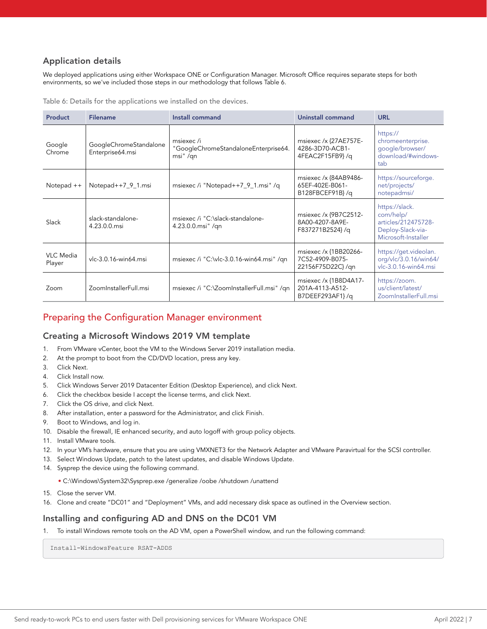# Application details

We deployed applications using either Workspace ONE or Configuration Manager. Microsoft Office requires separate steps for both environments, so we've included those steps in our methodology that follows Table 6.

Table 6: Details for the applications we installed on the devices.

| Product                    | <b>Filename</b>                            | Install command                                               | Uninstall command                                            | <b>URL</b>                                                                                     |
|----------------------------|--------------------------------------------|---------------------------------------------------------------|--------------------------------------------------------------|------------------------------------------------------------------------------------------------|
| Google<br>Chrome           | GoogleChromeStandalone<br>Enterprise64.msi | msiexec/i<br>"GoogleChromeStandaloneEnterprise64.<br>msi" /qn | msiexec /x {27AE757E-<br>4286-3D70-ACB1-<br>4FEAC2F15FB9}/q  | https://<br>chromeenterprise.<br>qoogle/browser/<br>download/#windows-<br>tab                  |
| Notepad ++                 | Notepad++7_9_1.msi                         | msiexec /i "Notepad++7_9_1.msi" /q                            | msiexec /x {84AB9486-<br>65EF-402E-B061-<br>B128FBCEF91B}/q  | https://sourceforge.<br>net/projects/<br>notepadmsi/                                           |
| Slack                      | slack-standalone-<br>4.23.0.0.msi          | msiexec /i "C:\slack-standalone-<br>4.23.0.0.msi" /qn         | msiexec /x {9B7C2512-<br>8A00-4207-8A9E-<br>F837271B2524}/q  | https://slack.<br>com/help/<br>articles/212475728-<br>Deploy-Slack-via-<br>Microsoft-Installer |
| <b>VLC</b> Media<br>Player | vlc-3.0.16-win64.msi                       | msiexec /i "C:\vlc-3.0.16-win64.msi" /qn                      | msiexec /x {1BB20266-<br>7C52-4909-B075-<br>22156F75D22C}/gn | https://get.videolan.<br>org/vlc/3.0.16/win64/<br>vlc-3.0.16-win64.msi                         |
| Zoom                       | ZoomInstallerFull.msi                      | msiexec /i "C:\ZoomInstallerFull.msi" /qn                     | msiexec /x {1B8D4A17-<br>201A-4113-A512-<br>B7DEEF293AF1}/q  | https://zoom.<br>us/client/latest/<br>ZoomInstallerFull.msi                                    |

## Preparing the Configuration Manager environment

### Creating a Microsoft Windows 2019 VM template

- 1. From VMware vCenter, boot the VM to the Windows Server 2019 installation media.
- 2. At the prompt to boot from the CD/DVD location, press any key.
- 3. Click Next.
- 4. Click Install now.
- 5. Click Windows Server 2019 Datacenter Edition (Desktop Experience), and click Next.
- 6. Click the checkbox beside I accept the license terms, and click Next.
- 7. Click the OS drive, and click Next.
- 8. After installation, enter a password for the Administrator, and click Finish.
- 9. Boot to Windows, and log in.
- 10. Disable the firewall, IE enhanced security, and auto logoff with group policy objects.
- 11. Install VMware tools.
- 12. In your VM's hardware, ensure that you are using VMXNET3 for the Network Adapter and VMware Paravirtual for the SCSI controller.
- 13. Select Windows Update, patch to the latest updates, and disable Windows Update.
- 14. Sysprep the device using the following command.
	- C:\Windows\System32\Sysprep.exe /generalize /oobe /shutdown /unattend
- 15. Close the server VM.
- 16. Clone and create "DC01" and "Deployment" VMs, and add necessary disk space as outlined in the Overview section.

### Installing and configuring AD and DNS on the DC01 VM

1. To install Windows remote tools on the AD VM, open a PowerShell window, and run the following command:

Install-WindowsFeature RSAT-ADDS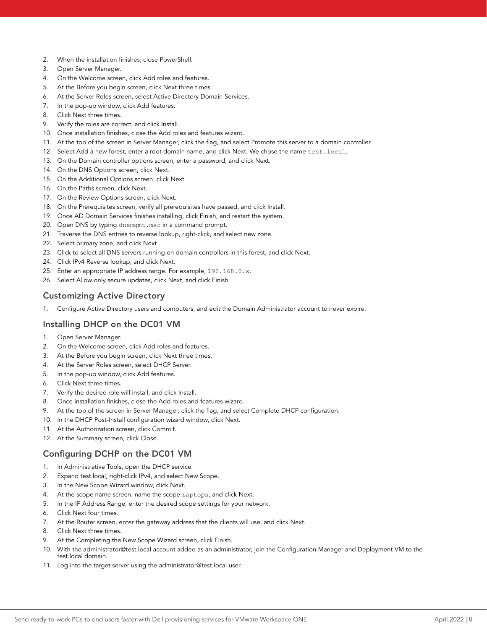- 2. When the installation finishes, close PowerShell.
- 3. Open Server Manager.
- 4. On the Welcome screen, click Add roles and features.
- 5. At the Before you begin screen, click Next three times.
- 6. At the Server Roles screen, select Active Directory Domain Services.
- 7. In the pop-up window, click Add features.
- 8. Click Next three times.
- 9. Verify the roles are correct, and click Install.
- 10. Once installation finishes, close the Add roles and features wizard.
- 11. At the top of the screen in Server Manager, click the flag, and select Promote this server to a domain controller.
- 12. Select Add a new forest, enter a root domain name, and click Next. We chose the name test.local.
- 13. On the Domain controller options screen, enter a password, and click Next.
- 14. On the DNS Options screen, click Next.
- 15. On the Additional Options screen, click Next.
- 16. On the Paths screen, click Next.
- 17. On the Review Options screen, click Next.
- 18. On the Prerequisites screen, verify all prerequisites have passed, and click Install.
- 19. Once AD Domain Services finishes installing, click Finish, and restart the system.
- 20. Open DNS by typing dnsmgmt.msc in a command prompt.
- 21. Traverse the DNS entries to reverse lookup, right-click, and select new zone.
- 22. Select primary zone, and click Next
- 23. Click to select all DNS servers running on domain controllers in this forest, and click Next.
- 24. Click IPv4 Reverse lookup, and click Next.
- 25. Enter an appropriate IP address range. For example, 192.168.0.x.
- 26. Select Allow only secure updates, click Next, and click Finish.

### Customizing Active Directory

1. Configure Active Directory users and computers, and edit the Domain Administrator account to never expire.

### Installing DHCP on the DC01 VM

- 1. Open Server Manager.
- 2. On the Welcome screen, click Add roles and features.
- 3. At the Before you begin screen, click Next three times.
- 4. At the Server Roles screen, select DHCP Server.
- 5. In the pop-up window, click Add features.
- 6. Click Next three times.
- 7. Verify the desired role will install, and click Install.
- 8. Once installation finishes, close the Add roles and features wizard.
- 9. At the top of the screen in Server Manager, click the flag, and select Complete DHCP configuration.
- 10. In the DHCP Post-Install configuration wizard window, click Next.
- 11. At the Authorization screen, click Commit.
- 12. At the Summary screen, click Close.

### Configuring DCHP on the DC01 VM

- 1. In Administrative Tools, open the DHCP service.
- 2. Expand test.local, right-click IPv4, and select New Scope.
- 3. In the New Scope Wizard window, click Next.
- 4. At the scope name screen, name the scope Laptops, and click Next.
- 5. In the IP Address Range, enter the desired scope settings for your network.
- 6. Click Next four times.
- 7. At the Router screen, enter the gateway address that the clients will use, and click Next.
- 8. Click Next three times.
- 9. At the Completing the New Scope Wizard screen, click Finish.
- 10. With the administrator@test.local account added as an administrator, join the Configuration Manager and Deployment VM to the test.local domain.
- 11. Log into the target server using the administrator@test.local user.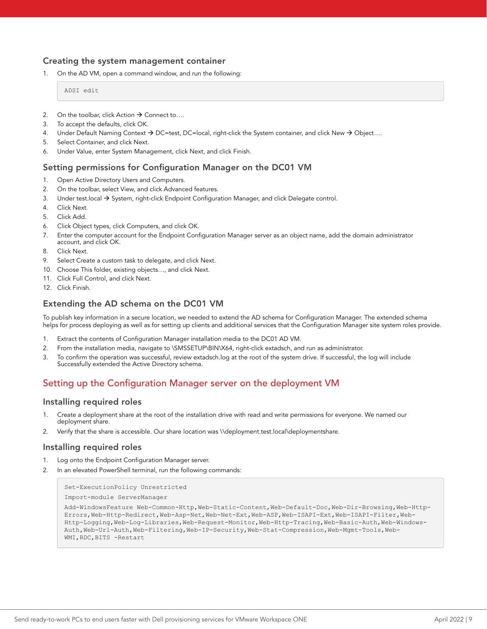### Creating the system management container

1. On the AD VM, open a command window, and run the following:

ADSI edit

- 2. On the toolbar, click Action  $\rightarrow$  Connect to...
- 3. To accept the defaults, click OK.
- 4. Under Default Naming Context  $\rightarrow$  DC=test, DC=local, right-click the System container, and click New  $\rightarrow$  Object...
- 5. Select Container, and click Next.
- 6. Under Value, enter System Management, click Next, and click Finish.

### Setting permissions for Configuration Manager on the DC01 VM

- 1. Open Active Directory Users and Computers.
- 2. On the toolbar, select View, and click Advanced features.
- 3. Under test.local  $\rightarrow$  System, right-click Endpoint Configuration Manager, and click Delegate control.
- 4. Click Next.
- 5. Click Add.
- 6. Click Object types, click Computers, and click OK.
- 7. Enter the computer account for the Endpoint Configuration Manager server as an object name, add the domain administrator account, and click OK.
- 8. Click Next.
- 9. Select Create a custom task to delegate, and click Next.
- 10. Choose This folder, existing objects…, and click Next.
- 11. Click Full Control, and click Next.
- 12. Click Finish.

### Extending the AD schema on the DC01 VM

To publish key information in a secure location, we needed to extend the AD schema for Configuration Manager. The extended schema helps for process deploying as well as for setting up clients and additional services that the Configuration Manager site system roles provide.

- 1. Extract the contents of Configuration Manager installation media to the DC01 AD VM.
- 2. From the installation media, navigate to \SMSSETUP\BIN\X64, right-click extadsch, and run as administrator.
- 3. To confirm the operation was successful, review extadsch.log at the root of the system drive. If successful, the log will include Successfully extended the Active Directory schema.

# Setting up the Configuration Manager server on the deployment VM

### Installing required roles

- Create a deployment share at the root of the installation drive with read and write permissions for everyone. We named our deployment share.
- 2. Verify that the share is accessible. Our share location was \\deployment.test.local\deploymentshare.

### Installing required roles

- 1. Log onto the Endpoint Configuration Manager server.
- 2. In an elevated PowerShell terminal, run the following commands:

```
Set-ExecutionPolicy Unrestricted
```

```
Import-module ServerManager
```

```
Add-WindowsFeature Web-Common-Http,Web-Static-Content,Web-Default-Doc,Web-Dir-Browsing,Web-Http-
Errors,Web-Http-Redirect,Web-Asp-Net,Web-Net-Ext,Web-ASP,Web-ISAPI-Ext,Web-ISAPI-Filter,Web-
Http-Logging,Web-Log-Libraries,Web-Request-Monitor,Web-Http-Tracing,Web-Basic-Auth,Web-Windows-
Auth,Web-Url-Auth,Web-Filtering,Web-IP-Security,Web-Stat-Compression,Web-Mgmt-Tools,Web-
WMI,RDC,BITS -Restart
```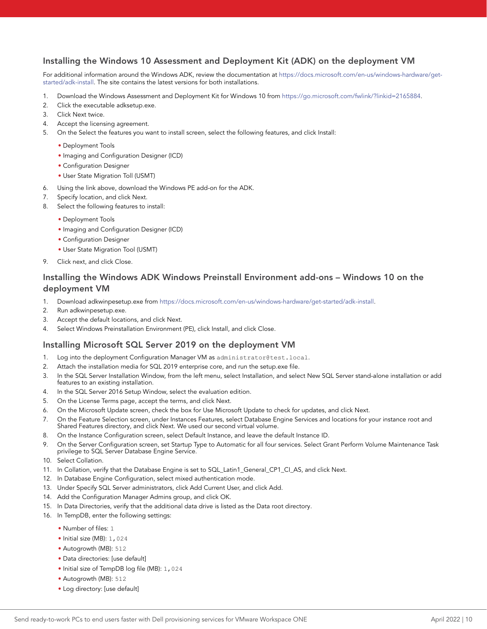### Installing the Windows 10 Assessment and Deployment Kit (ADK) on the deployment VM

For additional information around the Windows ADK, review the documentation at [https://docs.microsoft.com/en-us/windows-hardware/get](https://docs.microsoft.com/en-us/windows-hardware/get-started/adk-install)[started/adk-install.](https://docs.microsoft.com/en-us/windows-hardware/get-started/adk-install) The site contains the latest versions for both installations.

- 1. Download the Windows Assessment and Deployment Kit for Windows 10 from https://go.microsoft.com/fwlink/?linkid=2165884.
- 2. Click the executable adksetup.exe.
- 3. Click Next twice.
- 4. Accept the licensing agreement.
- 5. On the Select the features you want to install screen, select the following features, and click Install:
	- Deployment Tools
	- Imaging and Configuration Designer (ICD)
	- Configuration Designer
	- User State Migration Toll (USMT)
- 6. Using the link above, download the Windows PE add-on for the ADK.
- 7. Specify location, and click Next.
- 8. Select the following features to install:
	- Deployment Tools
	- Imaging and Configuration Designer (ICD)
	- Configuration Designer
	- User State Migration Tool (USMT)
- 9. Click next, and click Close.

### Installing the Windows ADK Windows Preinstall Environment add-ons – Windows 10 on the deployment VM

- 1. Download adkwinpesetup.exe from https://docs.microsoft.com/en-us/windows-hardware/get-started/adk-install.
- 2. Run adkwinpesetup.exe.
- 3. Accept the default locations, and click Next.
- 4. Select Windows Preinstallation Environment (PE), click Install, and click Close.

### Installing Microsoft SQL Server 2019 on the deployment VM

- 1. Log into the deployment Configuration Manager VM as administrator@test.local.
- 2. Attach the installation media for SQL 2019 enterprise core, and run the setup.exe file.
- 3. In the SQL Server Installation Window, from the left menu, select Installation, and select New SQL Server stand-alone installation or add features to an existing installation.
- 4. In the SQL Server 2016 Setup Window, select the evaluation edition.
- 5. On the License Terms page, accept the terms, and click Next.
- 6. On the Microsoft Update screen, check the box for Use Microsoft Update to check for updates, and click Next.
- 7. On the Feature Selection screen, under Instances Features, select Database Engine Services and locations for your instance root and Shared Features directory, and click Next. We used our second virtual volume.
- 8. On the Instance Configuration screen, select Default Instance, and leave the default Instance ID.
- 9. On the Server Configuration screen, set Startup Type to Automatic for all four services. Select Grant Perform Volume Maintenance Task privilege to SQL Server Database Engine Service.
- 10. Select Collation.
- 11. In Collation, verify that the Database Engine is set to SQL\_Latin1\_General\_CP1\_CI\_AS, and click Next.
- 12. In Database Engine Configuration, select mixed authentication mode.
- 13. Under Specify SQL Server administrators, click Add Current User, and click Add.
- 14. Add the Configuration Manager Admins group, and click OK.
- 15. In Data Directories, verify that the additional data drive is listed as the Data root directory.
- 16. In TempDB, enter the following settings:
	- Number of files: 1
	- Initial size (MB): 1,024
	- Autogrowth (MB): 512
	- Data directories: [use default]
	- Initial size of TempDB log file (MB): 1,024
	- Autogrowth (MB): 512
	- Log directory: [use default]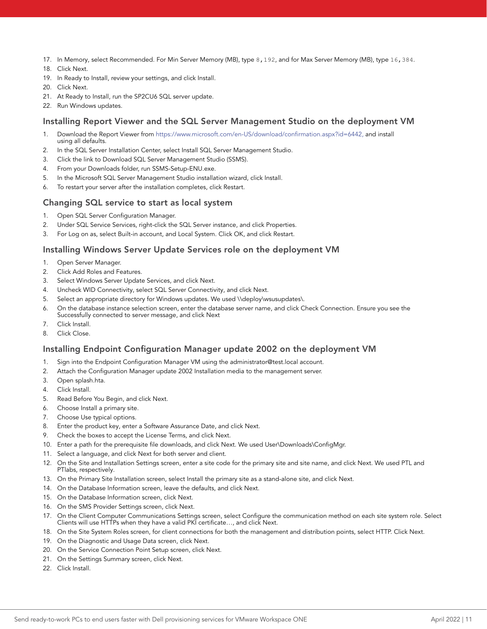- 17. In Memory, select Recommended. For Min Server Memory (MB), type 8,192, and for Max Server Memory (MB), type 16,384.
- 18. Click Next.
- 19. In Ready to Install, review your settings, and click Install.
- 20. Click Next.
- 21. At Ready to Install, run the SP2CU6 SQL server update.
- 22. Run Windows updates.

### Installing Report Viewer and the SQL Server Management Studio on the deployment VM

- 1. Download the Report Viewer from<https://www.microsoft.com/en-US/download/confirmation.aspx?id=6442>, and install using all defaults.
- 2. In the SQL Server Installation Center, select Install SQL Server Management Studio.
- 3. Click the link to Download SQL Server Management Studio (SSMS).
- 4. From your Downloads folder, run SSMS-Setup-ENU.exe.
- 5. In the Microsoft SQL Server Management Studio installation wizard, click Install.
- 6. To restart your server after the installation completes, click Restart.

### Changing SQL service to start as local system

- 1. Open SQL Server Configuration Manager.
- 2. Under SQL Service Services, right-click the SQL Server instance, and click Properties.
- 3. For Log on as, select Built-in account, and Local System. Click OK, and click Restart.

### Installing Windows Server Update Services role on the deployment VM

- 1. Open Server Manager.
- 2. Click Add Roles and Features.
- 3. Select Windows Server Update Services, and click Next.
- 4. Uncheck WID Connectivity, select SQL Server Connectivity, and click Next.
- 5. Select an appropriate directory for Windows updates. We used \\deploy\wsusupdates\.
- 6. On the database instance selection screen, enter the database server name, and click Check Connection. Ensure you see the
- Successfully connected to server message, and click Next
- 7. Click Install.
- 8. Click Close.

### Installing Endpoint Configuration Manager update 2002 on the deployment VM

- 1. Sign into the Endpoint Configuration Manager VM using the administrator@test.local account.
- 2. Attach the Configuration Manager update 2002 Installation media to the management server.
- 3. Open splash.hta.
- 4. Click Install.
- 5. Read Before You Begin, and click Next.
- 6. Choose Install a primary site.
- 7. Choose Use typical options.
- 8. Enter the product key, enter a Software Assurance Date, and click Next.
- 9. Check the boxes to accept the License Terms, and click Next.
- 10. Enter a path for the prerequisite file downloads, and click Next. We used User\Downloads\ConfigMgr.
- 11. Select a language, and click Next for both server and client.
- 12. On the Site and Installation Settings screen, enter a site code for the primary site and site name, and click Next. We used PTL and PTlabs, respectively.
- 13. On the Primary Site Installation screen, select Install the primary site as a stand-alone site, and click Next.
- 14. On the Database Information screen, leave the defaults, and click Next.
- 15. On the Database Information screen, click Next.
- 16. On the SMS Provider Settings screen, click Next.
- 17. On the Client Computer Communications Settings screen, select Configure the communication method on each site system role. Select Clients will use HTTPs when they have a valid PKI certificate..., and click Next.
- 18. On the Site System Roles screen, for client connections for both the management and distribution points, select HTTP. Click Next.
- 19. On the Diagnostic and Usage Data screen, click Next.
- 20. On the Service Connection Point Setup screen, click Next.
- 21. On the Settings Summary screen, click Next.
- 22. Click Install.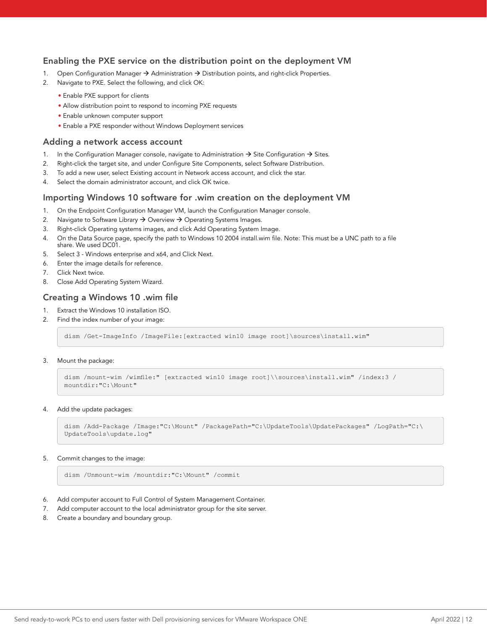### Enabling the PXE service on the distribution point on the deployment VM

- 1. Open Configuration Manager  $\rightarrow$  Administration  $\rightarrow$  Distribution points, and right-click Properties.
- 2. Navigate to PXE. Select the following, and click OK:
	- Enable PXE support for clients
	- Allow distribution point to respond to incoming PXE requests
	- Enable unknown computer support
	- Enable a PXE responder without Windows Deployment services

### Adding a network access account

- 1. In the Configuration Manager console, navigate to Administration  $\rightarrow$  Site Configuration  $\rightarrow$  Sites.
- 2. Right-click the target site, and under Configure Site Components, select Software Distribution.
- 3. To add a new user, select Existing account in Network access account, and click the star.
- 4. Select the domain administrator account, and click OK twice.

### Importing Windows 10 software for .wim creation on the deployment VM

- 1. On the Endpoint Configuration Manager VM, launch the Configuration Manager console.
- 2. Navigate to Software Library  $\rightarrow$  Overview  $\rightarrow$  Operating Systems Images.
- 3. Right-click Operating systems images, and click Add Operating System Image.
- 4. On the Data Source page, specify the path to Windows 10 2004 install.wim file. Note: This must be a UNC path to a file share. We used DC01.
- 5. Select 3 Windows enterprise and x64, and Click Next.
- 6. Enter the image details for reference.
- 7. Click Next twice.
- 8. Close Add Operating System Wizard.

### Creating a Windows 10 .wim file

- 1. Extract the Windows 10 installation ISO.
- 2. Find the index number of your image:

dism /Get-ImageInfo /ImageFile:[extracted win10 image root]\sources\install.wim"

#### 3. Mount the package:

```
dism /mount-wim /wimfile:" [extracted win10 image root]\\sources\install.wim" /index:3 /
mountdir:"C:\Mount"
```
#### 4. Add the update packages:

```
dism /Add-Package /Image:"C:\Mount" /PackagePath="C:\UpdateTools\UpdatePackages" /LogPath="C:\
UpdateTools\update.log"
```
#### 5. Commit changes to the image:

dism /Unmount-wim /mountdir:"C:\Mount" /commit

- 6. Add computer account to Full Control of System Management Container.
- 7. Add computer account to the local administrator group for the site server.
- 8. Create a boundary and boundary group.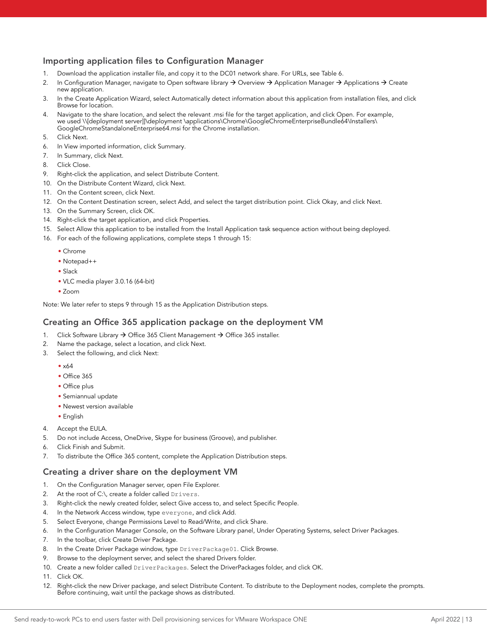### Importing application files to Configuration Manager

- 1. Download the application installer file, and copy it to the DC01 network share. For URLs, see Table 6.
- 2. In Configuration Manager, navigate to Open software library  $\rightarrow$  Overview  $\rightarrow$  Application Manager  $\rightarrow$  Applications  $\rightarrow$  Create new application.
- 3. In the Create Application Wizard, select Automatically detect information about this application from installation files, and click Browse for location.
- 4. Navigate to the share location, and select the relevant .msi file for the target application, and click Open. For example, we used [\\\[deployment](file:///\\[deployment) server]]\deployment \applications\Chrome\GoogleChromeEnterpriseBundle64\Installers\ GoogleChromeStandaloneEnterprise64.msi for the Chrome installation.
- 5. Click Next.
- 6. In View imported information, click Summary.
- 7. In Summary, click Next.
- 8. Click Close.
- 9. Right-click the application, and select Distribute Content.
- 10. On the Distribute Content Wizard, click Next.
- 11. On the Content screen, click Next.
- 12. On the Content Destination screen, select Add, and select the target distribution point. Click Okay, and click Next.
- 13. On the Summary Screen, click OK.
- 14. Right-click the target application, and click Properties.
- 15. Select Allow this application to be installed from the Install Application task sequence action without being deployed.
- 16. For each of the following applications, complete steps 1 through 15:
	- Chrome
	- Notepad++
	- Slack
	- VLC media player 3.0.16 (64-bit)
	- Zoom

Note: We later refer to steps 9 through 15 as the Application Distribution steps.

### Creating an Office 365 application package on the deployment VM

- 1. Click Software Library  $\rightarrow$  Office 365 Client Management  $\rightarrow$  Office 365 installer.
- 2. Name the package, select a location, and click Next.
- 3. Select the following, and click Next:
	- x64
	- Office 365
	- Office plus
	- Semiannual update
	- Newest version available
	- English
- 4. Accept the EULA.
- 5. Do not include Access, OneDrive, Skype for business (Groove), and publisher.
- 6. Click Finish and Submit.
- 7. To distribute the Office 365 content, complete the Application Distribution steps.

### Creating a driver share on the deployment VM

- 1. On the Configuration Manager server, open File Explorer.
- 2. At the root of C:\, create a folder called Drivers.
- 3. Right-click the newly created folder, select Give access to, and select Specific People.
- 4. In the Network Access window, type everyone, and click Add.
- 5. Select Everyone, change Permissions Level to Read/Write, and click Share.
- 6. In the Configuration Manager Console, on the Software Library panel, Under Operating Systems, select Driver Packages.
- 7. In the toolbar, click Create Driver Package.
- 8. In the Create Driver Package window, type DriverPackage01. Click Browse.
- 9. Browse to the deployment server, and select the shared Drivers folder.
- 10. Create a new folder called DriverPackages. Select the DriverPackages folder, and click OK.
- 11. Click OK.
- 12. Right-click the new Driver package, and select Distribute Content. To distribute to the Deployment nodes, complete the prompts. Before continuing, wait until the package shows as distributed.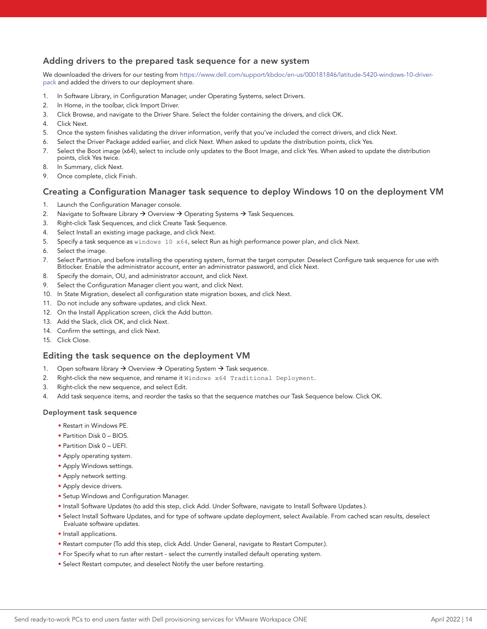### Adding drivers to the prepared task sequence for a new system

We downloaded the drivers for our testing from [https://www.dell.com/support/kbdoc/en-us/000181846/latitude-5420-windows-10-driver](https://www.dell.com/support/kbdoc/en-us/000181846/latitude-5420-windows-10-driver-pack)[pack](https://www.dell.com/support/kbdoc/en-us/000181846/latitude-5420-windows-10-driver-pack) and added the drivers to our deployment share.

- 1. In Software Library, in Configuration Manager, under Operating Systems, select Drivers.
- 2. In Home, in the toolbar, click Import Driver.
- 3. Click Browse, and navigate to the Driver Share. Select the folder containing the drivers, and click OK.
- 4. Click Next.
- 5. Once the system finishes validating the driver information, verify that you've included the correct drivers, and click Next.
- 6. Select the Driver Package added earlier, and click Next. When asked to update the distribution points, click Yes.
- 7. Select the Boot image (x64), select to include only updates to the Boot Image, and click Yes. When asked to update the distribution points, click Yes twice.
- 8. In Summary, click Next.
- 9. Once complete, click Finish.

### Creating a Configuration Manager task sequence to deploy Windows 10 on the deployment VM

- 1. Launch the Configuration Manager console.
- 2. Navigate to Software Library  $\rightarrow$  Overview  $\rightarrow$  Operating Systems  $\rightarrow$  Task Sequences.
- 3. Right-click Task Sequences, and click Create Task Sequence.
- 4. Select Install an existing image package, and click Next.
- 5. Specify a task sequence as windows 10 x64, select Run as high performance power plan, and click Next.
- 6. Select the image.
- 7. Select Partition, and before installing the operating system, format the target computer. Deselect Configure task sequence for use with Bitlocker. Enable the administrator account, enter an administrator password, and click Next.
- 8. Specify the domain, OU, and administrator account, and click Next.
- 9. Select the Configuration Manager client you want, and click Next.
- 10. In State Migration, deselect all configuration state migration boxes, and click Next.
- 11. Do not include any software updates, and click Next.
- 12. On the Install Application screen, click the Add button.
- 13. Add the Slack, click OK, and click Next.
- 14. Confirm the settings, and click Next.
- 15. Click Close.

### Editing the task sequence on the deployment VM

- 1. Open software library  $\rightarrow$  Overview  $\rightarrow$  Operating System  $\rightarrow$  Task sequence.
- 2. Right-click the new sequence, and rename it Windows x64 Traditional Deployment.
- 3. Right-click the new sequence, and select Edit.
- 4. Add task sequence items, and reorder the tasks so that the sequence matches our Task Sequence below. Click OK.

#### Deployment task sequence

- Restart in Windows PE.
- Partition Disk 0 BIOS.
- Partition Disk 0 UEFI.
- Apply operating system.
- Apply Windows settings.
- Apply network setting.
- Apply device drivers.
- Setup Windows and Configuration Manager.
- Install Software Updates (to add this step, click Add. Under Software, navigate to Install Software Updates.).
- Select Install Software Updates, and for type of software update deployment, select Available. From cached scan results, deselect Evaluate software updates.
- Install applications.
- Restart computer (To add this step, click Add. Under General, navigate to Restart Computer.).
- For Specify what to run after restart select the currently installed default operating system.
- Select Restart computer, and deselect Notify the user before restarting.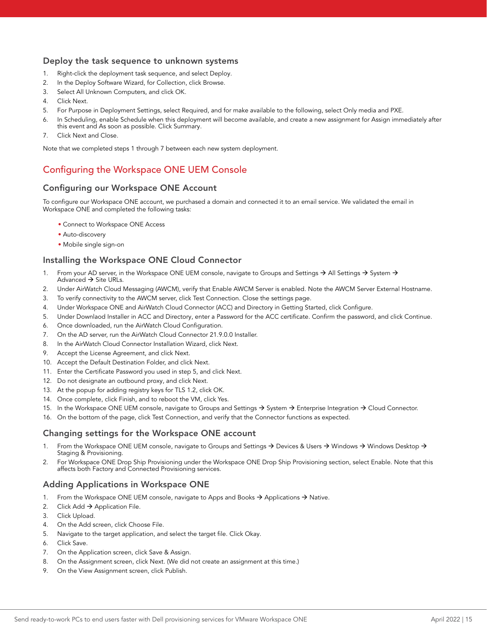### Deploy the task sequence to unknown systems

- 1. Right-click the deployment task sequence, and select Deploy.
- 2. In the Deploy Software Wizard, for Collection, click Browse.
- 3. Select All Unknown Computers, and click OK.
- 4. Click Next.
- 5. For Purpose in Deployment Settings, select Required, and for make available to the following, select Only media and PXE.
- 6. In Scheduling, enable Schedule when this deployment will become available, and create a new assignment for Assign immediately after this event and As soon as possible. Click Summary.
- 7. Click Next and Close.

Note that we completed steps 1 through 7 between each new system deployment.

# Configuring the Workspace ONE UEM Console

### Configuring our Workspace ONE Account

To configure our Workspace ONE account, we purchased a domain and connected it to an email service. We validated the email in Workspace ONE and completed the following tasks:

- Connect to Workspace ONE Access
- Auto-discovery
- Mobile single sign-on

### Installing the Workspace ONE Cloud Connector

- 1. From your AD server, in the Workspace ONE UEM console, navigate to Groups and Settings  $\rightarrow$  All Settings  $\rightarrow$  System  $\rightarrow$ Advanced  $\rightarrow$  Site URLs.
- 2. Under AirWatch Cloud Messaging (AWCM), verify that Enable AWCM Server is enabled. Note the AWCM Server External Hostname.
- 3. To verify connectivity to the AWCM server, click Test Connection. Close the settings page.
- 4. Under Workspace ONE and AirWatch Cloud Connector (ACC) and Directory in Getting Started, click Configure.
- 5. Under Downlaod Installer in ACC and Directory, enter a Password for the ACC certificate. Confirm the password, and click Continue.
- 6. Once downloaded, run the AirWatch Cloud Configuration.
- 7. On the AD server, run the AirWatch Cloud Connector 21.9.0.0 Installer.
- 8. In the AirWatch Cloud Connector Installation Wizard, click Next.
- 9. Accept the License Agreement, and click Next.
- 10. Accept the Default Destination Folder, and click Next.
- 11. Enter the Certificate Password you used in step 5, and click Next.
- 12. Do not designate an outbound proxy, and click Next.
- 13. At the popup for adding registry keys for TLS 1.2, click OK.
- 14. Once complete, click Finish, and to reboot the VM, click Yes.
- 15. In the Workspace ONE UEM console, navigate to Groups and Settings  $\rightarrow$  System  $\rightarrow$  Enterprise Integration  $\rightarrow$  Cloud Connector.
- 16. On the bottom of the page, click Test Connection, and verify that the Connector functions as expected.

### Changing settings for the Workspace ONE account

- 1. From the Workspace ONE UEM console, navigate to Groups and Settings  $\to$  Devices & Users  $\to$  Windows  $\to$  Windows Desktop  $\to$ Staging & Provisioning.
- 2. For Workspace ONE Drop Ship Provisioning under the Workspace ONE Drop Ship Provisioning section, select Enable. Note that this affects both Factory and Connected Provisioning services.

### Adding Applications in Workspace ONE

- 1. From the Workspace ONE UEM console, navigate to Apps and Books  $\rightarrow$  Applications  $\rightarrow$  Native.
- 2. Click Add  $\rightarrow$  Application File.
- 3. Click Upload.
- 4. On the Add screen, click Choose File.
- 5. Navigate to the target application, and select the target file. Click Okay.
- 6. Click Save.
- 7. On the Application screen, click Save & Assign.
- 8. On the Assignment screen, click Next. (We did not create an assignment at this time.)
- 9. On the View Assignment screen, click Publish.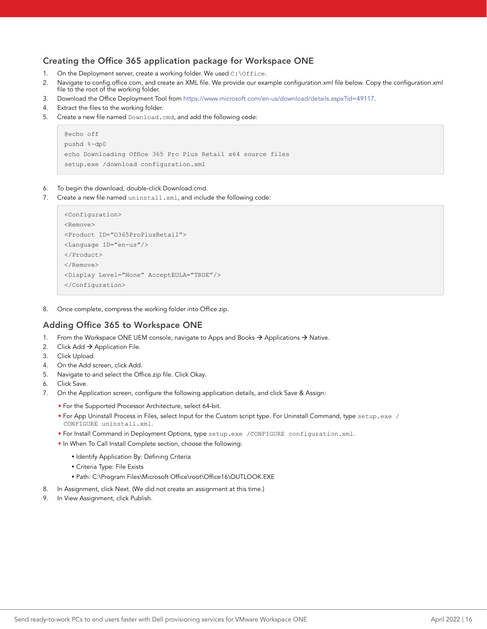### Creating the Office 365 application package for Workspace ONE

- 1. On the Deployment server, create a working folder. We used  $c:\overline{c:}\$
- 2. Navigate to config.office.com, and create an XML file. We provide our example configuration.xml file below. Copy the configuration.xml file to the root of the working folder.
- 3. Download the Office Deployment Tool from [https://www.microsoft.com/en-us/download/details.aspx?id=49117.](https://www.microsoft.com/en-us/download/details.aspx?id=49117)
- 4. Extract the files to the working folder.
- 5. Create a new file named Download.cmd, and add the following code:

```
@echo off
pushd %~dp0
echo Downloading Office 365 Pro Plus Retail x64 source files
setup.exe /download configuration.xml
```
- 6. To begin the download, double-click Download.cmd.
- 7. Create a new file named uninstall.xml, and include the following code:

```
<Configuration>
<Remove>
<Product ID="O365ProPlusRetail">
<Language ID="en-us"/>
</Product>
</Remove>
<Display Level="None" AcceptEULA="TRUE"/>
</Configuration>
```
8. Once complete, compress the working folder into Office.zip.

### Adding Office 365 to Workspace ONE

- 1. From the Workspace ONE UEM console, navigate to Apps and Books  $\rightarrow$  Applications  $\rightarrow$  Native.
- 2. Click Add  $\rightarrow$  Application File.
- 3. Click Upload.
- 4. On the Add screen, click Add.
- 5. Navigate to and select the Office.zip file. Click Okay.
- 6. Click Save.
- 7. On the Application screen, configure the following application details, and click Save & Assign:
	- For the Supported Processor Architecture, select 64-bit.
	- For App Uninstall Process in Files, select Input for the Custom script type. For Uninstall Command, type setup.exe / CONFIGURE uninstall.xml.
	- For Install Command in Deployment Options, type setup.exe /CONFIGURE configuration.xml.
	- In When To Call Install Complete section, choose the following:
		- Identify Application By: Defining Criteria
		- Criteria Type: File Exists
		- Path: C:\Program Files\Microsoft Office\root\Office16\OUTLOOK.EXE
- 8. In Assignment, click Next. (We did not create an assignment at this time.)
- 9. In View Assignment, click Publish.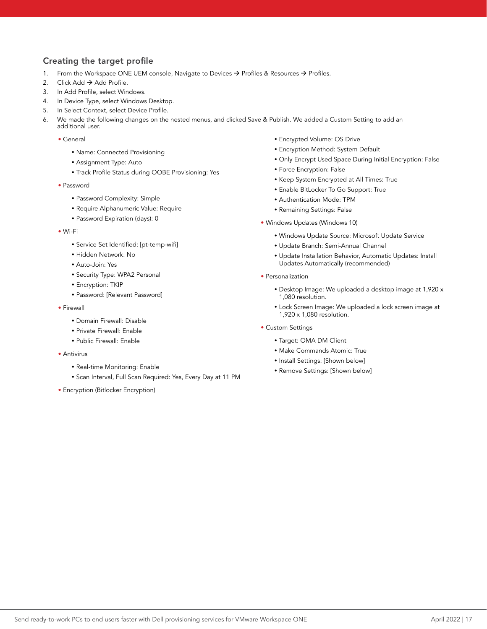## Creating the target profile

- 1. From the Workspace ONE UEM console, Navigate to Devices  $\rightarrow$  Profiles & Resources  $\rightarrow$  Profiles.
- 2. Click Add  $\rightarrow$  Add Profile.
- 3. In Add Profile, select Windows.
- 4. In Device Type, select Windows Desktop.
- 5. In Select Context, select Device Profile.
- 6. We made the following changes on the nested menus, and clicked Save & Publish. We added a Custom Setting to add an additional user.
	- General
		- Name: Connected Provisioning
		- Assignment Type: Auto
		- Track Profile Status during OOBE Provisioning: Yes
	- Password
		- Password Complexity: Simple
		- Require Alphanumeric Value: Require
		- Password Expiration (days): 0
	- Wi-Fi
		- Service Set Identified: [pt-temp-wifi]
		- Hidden Network: No
		- Auto-Join: Yes
		- Security Type: WPA2 Personal
		- Encryption: TKIP
		- Password: [Relevant Password]
	- Firewall
		- Domain Firewall: Disable
		- Private Firewall: Enable
		- Public Firewall: Enable
	- Antivirus
		- Real-time Monitoring: Enable
		- Scan Interval, Full Scan Required: Yes, Every Day at 11 PM
	- Encryption (Bitlocker Encryption)
- Encrypted Volume: OS Drive
- Encryption Method: System Default
- Only Encrypt Used Space During Initial Encryption: False
- Force Encryption: False
- Keep System Encrypted at All Times: True
- Enable BitLocker To Go Support: True
- Authentication Mode: TPM
- Remaining Settings: False
- Windows Updates (Windows 10)
	- Windows Update Source: Microsoft Update Service
	- Update Branch: Semi-Annual Channel
	- Update Installation Behavior, Automatic Updates: Install Updates Automatically (recommended)
- Personalization
	- Desktop Image: We uploaded a desktop image at 1,920 x 1,080 resolution.
	- Lock Screen Image: We uploaded a lock screen image at 1,920 x 1,080 resolution.
- Custom Settings
	- Target: OMA DM Client
	- Make Commands Atomic: True
	- Install Settings: [Shown below]
	- Remove Settings: [Shown below]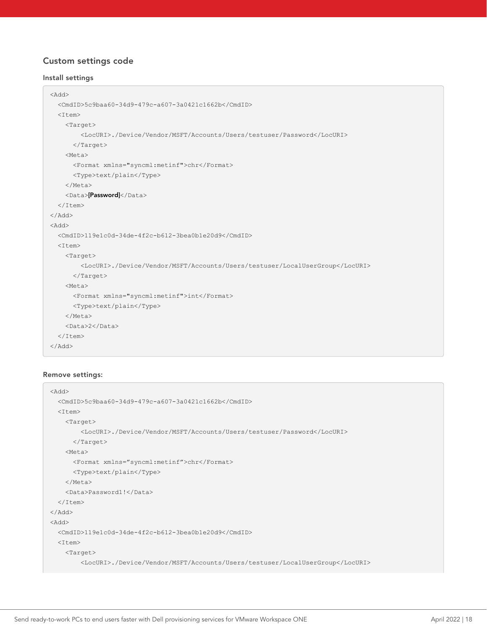# Custom settings code

### Install settings

```
<Add>
  <CmdID>5c9baa60-34d9-479c-a607-3a0421c1662b</CmdID>
  <Item>
    <Target>
         <LocURI>./Device/Vendor/MSFT/Accounts/Users/testuser/Password</LocURI>
      </Target>
     <Meta>
      <Format xmlns="syncml:metinf">chr</Format>
       <Type>text/plain</Type>
    </Meta>
   <Data>[Password]</Data>
  </Item>
</Add>
<Add>
  <CmdID>119e1c0d-34de-4f2c-b612-3bea0b1e20d9</CmdID>
  <Item>
    <Target>
        <LocURI>./Device/Vendor/MSFT/Accounts/Users/testuser/LocalUserGroup</LocURI>
      </Target>
    <Meta>
      <Format xmlns="syncml:metinf">int</Format>
       <Type>text/plain</Type>
    </Meta>
    <Data>2</Data>
  </Item>
</Add>
```
### Remove settings:

```
<Add>
  <CmdID>5c9baa60-34d9-479c-a607-3a0421c1662b</CmdID>
  <Item>
     <Target>
         <LocURI>./Device/Vendor/MSFT/Accounts/Users/testuser/Password</LocURI>
       </Target>
     <Meta>
       <Format xmlns="syncml:metinf">chr</Format>
       <Type>text/plain</Type>
     </Meta>
     <Data>Password1!</Data>
  \langle/Item>
\langle / Add>
<Add>
   <CmdID>119e1c0d-34de-4f2c-b612-3bea0b1e20d9</CmdID>
 <Ttem> <Target>
         <LocURI>./Device/Vendor/MSFT/Accounts/Users/testuser/LocalUserGroup</LocURI>
```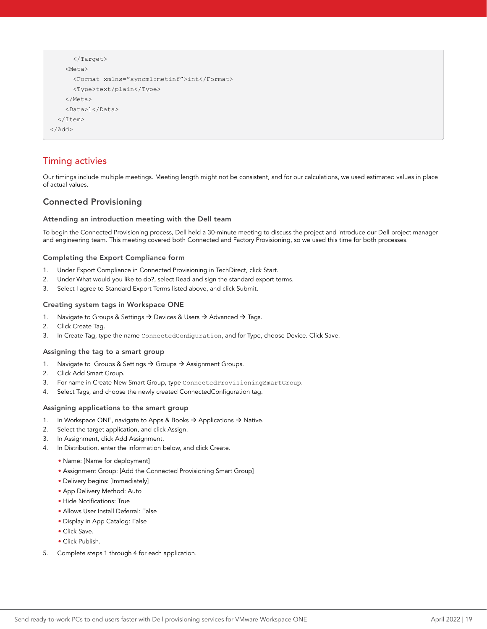```
 </Target>
     <Meta>
       <Format xmlns="syncml:metinf">int</Format>
       <Type>text/plain</Type>
     </Meta>
     <Data>1</Data>
   </Item>
</Add>
```
# Timing activies

Our timings include multiple meetings. Meeting length might not be consistent, and for our calculations, we used estimated values in place of actual values.

### Connected Provisioning

#### Attending an introduction meeting with the Dell team

To begin the Connected Provisioning process, Dell held a 30-minute meeting to discuss the project and introduce our Dell project manager and engineering team. This meeting covered both Connected and Factory Provisioning, so we used this time for both processes.

### Completing the Export Compliance form

- 1. Under Export Compliance in Connected Provisioning in TechDirect, click Start.
- 2. Under What would you like to do?, select Read and sign the standard export terms.
- 3. Select I agree to Standard Export Terms listed above, and click Submit.

#### Creating system tags in Workspace ONE

- 1. Navigate to Groups & Settings  $\rightarrow$  Devices & Users  $\rightarrow$  Advanced  $\rightarrow$  Tags.
- 2. Click Create Tag.
- 3. In Create Tag, type the name ConnectedConfiguration, and for Type, choose Device. Click Save.

#### Assigning the tag to a smart group

- 1. Navigate to Groups & Settings  $\rightarrow$  Groups  $\rightarrow$  Assignment Groups.
- 2. Click Add Smart Group.
- 3. For name in Create New Smart Group, type ConnectedProvisioningSmartGroup.
- 4. Select Tags, and choose the newly created ConnectedConfiguration tag.

#### Assigning applications to the smart group

- 1. In Workspace ONE, navigate to Apps & Books  $\rightarrow$  Applications  $\rightarrow$  Native.
- 2. Select the target application, and click Assign.
- 3. In Assignment, click Add Assignment.
- 4. In Distribution, enter the information below, and click Create.
	- Name: [Name for deployment]
	- Assignment Group: [Add the Connected Provisioning Smart Group]
	- Delivery begins: [Immediately]
	- App Delivery Method: Auto
	- Hide Notifications: True
	- Allows User Install Deferral: False
	- Display in App Catalog: False
	- Click Save.
	- Click Publish.
- 5. Complete steps 1 through 4 for each application.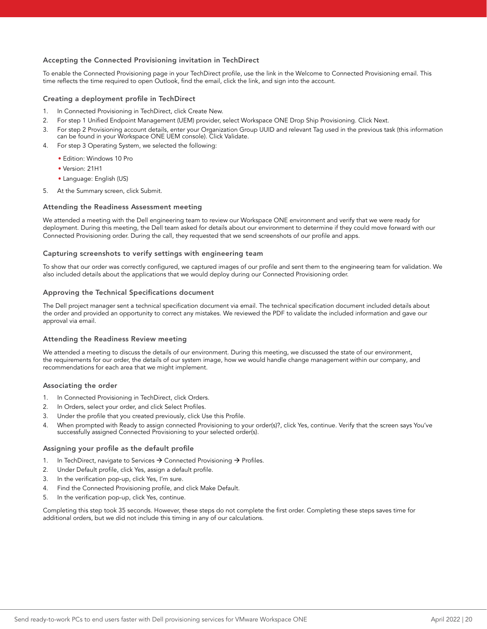### Accepting the Connected Provisioning invitation in TechDirect

To enable the Connected Provisioning page in your TechDirect profile, use the link in the Welcome to Connected Provisioning email. This time reflects the time required to open Outlook, find the email, click the link, and sign into the account.

#### Creating a deployment profile in TechDirect

- 1. In Connected Provisioning in TechDirect, click Create New.
- 2. For step 1 Unified Endpoint Management (UEM) provider, select Workspace ONE Drop Ship Provisioning. Click Next.
- 3. For step 2 Provisioning account details, enter your Organization Group UUID and relevant Tag used in the previous task (this information can be found in your Workspace ONE UEM console). Click Validate.
- 4. For step 3 Operating System, we selected the following:
	- Edition: Windows 10 Pro
	- Version: 21H1
	- Language: English (US)
- 5. At the Summary screen, click Submit.

#### Attending the Readiness Assessment meeting

We attended a meeting with the Dell engineering team to review our Workspace ONE environment and verify that we were ready for deployment. During this meeting, the Dell team asked for details about our environment to determine if they could move forward with our Connected Provisioning order. During the call, they requested that we send screenshots of our profile and apps.

#### Capturing screenshots to verify settings with engineering team

To show that our order was correctly configured, we captured images of our profile and sent them to the engineering team for validation. We also included details about the applications that we would deploy during our Connected Provisioning order.

#### Approving the Technical Specifications document

The Dell project manager sent a technical specification document via email. The technical specification document included details about the order and provided an opportunity to correct any mistakes. We reviewed the PDF to validate the included information and gave our approval via email.

#### Attending the Readiness Review meeting

We attended a meeting to discuss the details of our environment. During this meeting, we discussed the state of our environment, the requirements for our order, the details of our system image, how we would handle change management within our company, and recommendations for each area that we might implement.

#### Associating the order

- 1. In Connected Provisioning in TechDirect, click Orders.
- 2. In Orders, select your order, and click Select Profiles.
- 3. Under the profile that you created previously, click Use this Profile.
- 4. When prompted with Ready to assign connected Provisioning to your order(s)?, click Yes, continue. Verify that the screen says You've successfully assigned Connected Provisioning to your selected order(s).

#### Assigning your profile as the default profile

- 1. In TechDirect, navigate to Services  $\rightarrow$  Connected Provisioning  $\rightarrow$  Profiles.
- 2. Under Default profile, click Yes, assign a default profile.
- 3. In the verification pop-up, click Yes, I'm sure.
- 4. Find the Connected Provisioning profile, and click Make Default.
- 5. In the verification pop-up, click Yes, continue.

Completing this step took 35 seconds. However, these steps do not complete the first order. Completing these steps saves time for additional orders, but we did not include this timing in any of our calculations.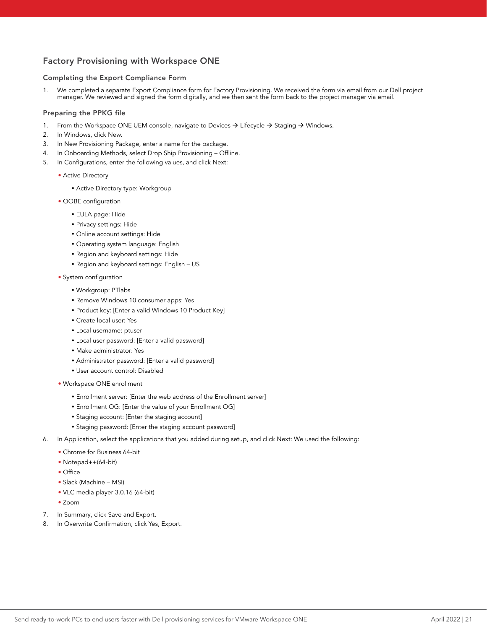## Factory Provisioning with Workspace ONE

### Completing the Export Compliance Form

1. We completed a separate Export Compliance form for Factory Provisioning. We received the form via email from our Dell project manager. We reviewed and signed the form digitally, and we then sent the form back to the project manager via email.

#### Preparing the PPKG file

- 1. From the Workspace ONE UEM console, navigate to Devices  $\rightarrow$  Lifecycle  $\rightarrow$  Staging  $\rightarrow$  Windows.
- 2. In Windows, click New.
- 3. In New Provisioning Package, enter a name for the package.
- 4. In Onboarding Methods, select Drop Ship Provisioning Offline.
- 5. In Configurations, enter the following values, and click Next:
	- Active Directory
		- Active Directory type: Workgroup
	- OOBE configuration
		- EULA page: Hide
		- Privacy settings: Hide
		- Online account settings: Hide
		- Operating system language: English
		- Region and keyboard settings: Hide
		- Region and keyboard settings: English US
	- System configuration
		- Workgroup: PTlabs
		- Remove Windows 10 consumer apps: Yes
		- Product key: [Enter a valid Windows 10 Product Key]
		- Create local user: Yes
		- Local username: ptuser
		- Local user password: [Enter a valid password]
		- Make administrator: Yes
		- Administrator password: [Enter a valid password]
		- User account control: Disabled
	- Workspace ONE enrollment
		- Enrollment server: [Enter the web address of the Enrollment server]
		- Enrollment OG: [Enter the value of your Enrollment OG]
		- Staging account: [Enter the staging account]
		- Staging password: [Enter the staging account password]
- 6. In Application, select the applications that you added during setup, and click Next: We used the following:
	- Chrome for Business 64-bit
	- Notepad++(64-bit)
	- Office
	- Slack (Machine MSI)
	- VLC media player 3.0.16 (64-bit)
	- Zoom
- 7. In Summary, click Save and Export.
- 8. In Overwrite Confirmation, click Yes, Export.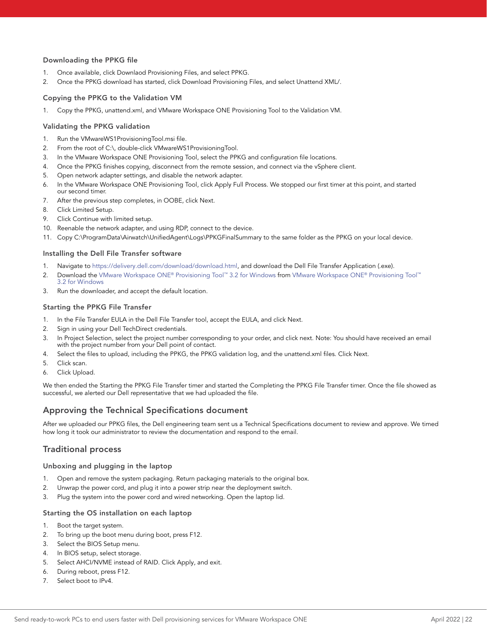### Downloading the PPKG file

- 1. Once available, click Downlaod Provisioning Files, and select PPKG.
- 2. Once the PPKG download has started, click Download Provisioning Files, and select Unattend XML/.

### Copying the PPKG to the Validation VM

1. Copy the PPKG, unattend.xml, and VMware Workspace ONE Provisioning Tool to the Validation VM.

#### Validating the PPKG validation

- 1. Run the VMwareWS1ProvisioningTool.msi file.
- 2. From the root of C:\, double-click VMwareWS1ProvisioningTool.
- 3. In the VMware Workspace ONE Provisioning Tool, select the PPKG and configuration file locations.
- 4. Once the PPKG finishes copying, disconnect from the remote session, and connect via the vSphere client.
- 5. Open network adapter settings, and disable the network adapter.
- 6. In the VMware Workspace ONE Provisioning Tool, click Apply Full Process. We stopped our first timer at this point, and started our second timer.
- 7. After the previous step completes, in OOBE, click Next.
- 8. Click Limited Setup.
- 9. Click Continue with limited setup.
- 10. Reenable the network adapter, and using RDP, connect to the device.
- 11. Copy C:\ProgramData\Airwatch\UnifiedAgent\Logs\PPKGFinalSummary to the same folder as the PPKG on your local device.

#### Installing the Dell File Transfer software

- 1. Navigate to<https://delivery.dell.com/download/download.html>, and download the Dell File Transfer Application (.exe).
- 2. Download the [VMware Workspace ONE® Provisioning Tool™ 3.2 for Windows](https://resources.workspaceone.com/view/cc56rq4xhtw449g8cyj7/en) from [VMware Workspace ONE® Provisioning Tool™](https://resources.workspaceone.com/view/cc56rq4xhtw449g8cyj7/en) [3.2 for Windows](https://resources.workspaceone.com/view/cc56rq4xhtw449g8cyj7/en)
- 3. Run the downloader, and accept the default location.

#### Starting the PPKG File Transfer

- 1. In the File Transfer EULA in the Dell File Transfer tool, accept the EULA, and click Next.
- 2. Sign in using your Dell TechDirect credentials.
- 3. In Project Selection, select the project number corresponding to your order, and click next. Note: You should have received an email with the project number from your Dell point of contact.
- 4. Select the files to upload, including the PPKG, the PPKG validation log, and the unattend.xml files. Click Next.
- 5. Click scan.
- 6. Click Upload.

We then ended the Starting the PPKG File Transfer timer and started the Completing the PPKG File Transfer timer. Once the file showed as successful, we alerted our Dell representative that we had uploaded the file.

### Approving the Technical Specifications document

After we uploaded our PPKG files, the Dell engineering team sent us a Technical Specifications document to review and approve. We timed how long it took our administrator to review the documentation and respond to the email.

### Traditional process

#### Unboxing and plugging in the laptop

- 1. Open and remove the system packaging. Return packaging materials to the original box.
- 2. Unwrap the power cord, and plug it into a power strip near the deployment switch.
- 3. Plug the system into the power cord and wired networking. Open the laptop lid.

#### Starting the OS installation on each laptop

- 1. Boot the target system.
- 2. To bring up the boot menu during boot, press F12.
- 3. Select the BIOS Setup menu.
- 4. In BIOS setup, select storage.
- 5. Select AHCI/NVME instead of RAID. Click Apply, and exit.
- 6. During reboot, press F12.
- 7. Select boot to IPv4.